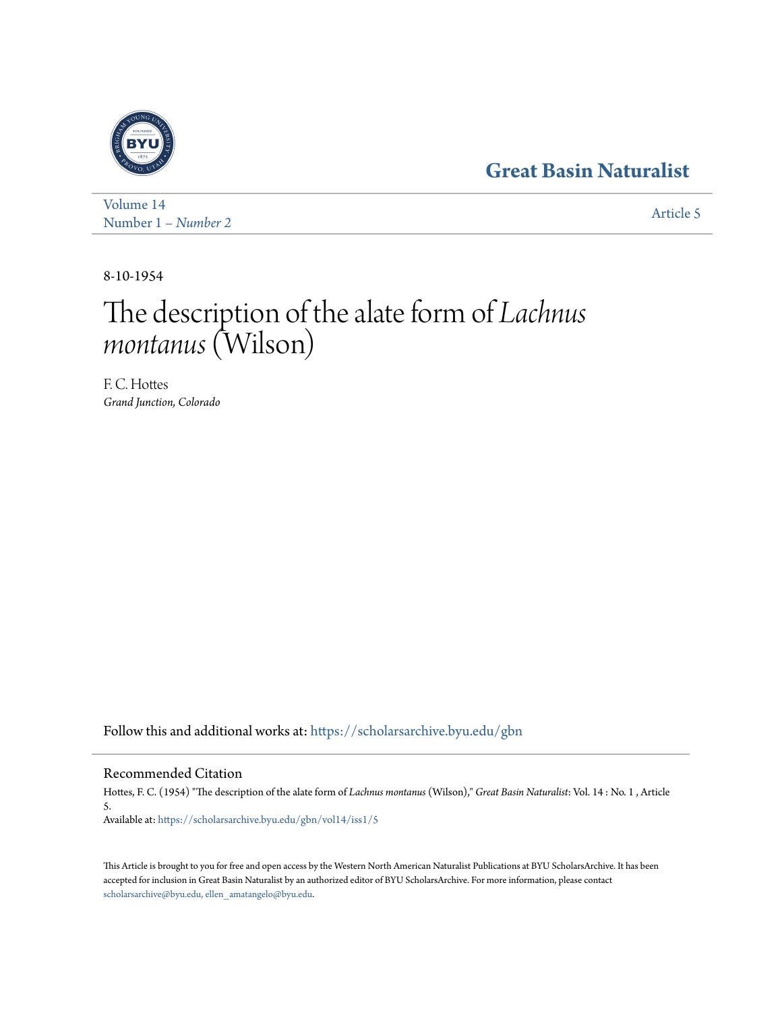## **[Great Basin Naturalist](https://scholarsarchive.byu.edu/gbn?utm_source=scholarsarchive.byu.edu%2Fgbn%2Fvol14%2Fiss1%2F5&utm_medium=PDF&utm_campaign=PDFCoverPages)**



[Volume 14](https://scholarsarchive.byu.edu/gbn/vol14?utm_source=scholarsarchive.byu.edu%2Fgbn%2Fvol14%2Fiss1%2F5&utm_medium=PDF&utm_campaign=PDFCoverPages) Number 1 *[– Number 2](https://scholarsarchive.byu.edu/gbn/vol14/iss1?utm_source=scholarsarchive.byu.edu%2Fgbn%2Fvol14%2Fiss1%2F5&utm_medium=PDF&utm_campaign=PDFCoverPages)* [Article 5](https://scholarsarchive.byu.edu/gbn/vol14/iss1/5?utm_source=scholarsarchive.byu.edu%2Fgbn%2Fvol14%2Fiss1%2F5&utm_medium=PDF&utm_campaign=PDFCoverPages)

8-10-1954

# The description of the alate form of *Lachnus montanus*(Wilson)

F. C. Hottes *Grand Junction, Colorado*

Follow this and additional works at: [https://scholarsarchive.byu.edu/gbn](https://scholarsarchive.byu.edu/gbn?utm_source=scholarsarchive.byu.edu%2Fgbn%2Fvol14%2Fiss1%2F5&utm_medium=PDF&utm_campaign=PDFCoverPages)

### Recommended Citation

Hottes, F. C. (1954) "The description of the alate form of *Lachnus montanus* (Wilson)," *Great Basin Naturalist*: Vol. 14 : No. 1 , Article 5. Available at: [https://scholarsarchive.byu.edu/gbn/vol14/iss1/5](https://scholarsarchive.byu.edu/gbn/vol14/iss1/5?utm_source=scholarsarchive.byu.edu%2Fgbn%2Fvol14%2Fiss1%2F5&utm_medium=PDF&utm_campaign=PDFCoverPages)

This Article is brought to you for free and open access by the Western North American Naturalist Publications at BYU ScholarsArchive. It has been accepted for inclusion in Great Basin Naturalist by an authorized editor of BYU ScholarsArchive. For more information, please contact [scholarsarchive@byu.edu, ellen\\_amatangelo@byu.edu.](mailto:scholarsarchive@byu.edu,%20ellen_amatangelo@byu.edu)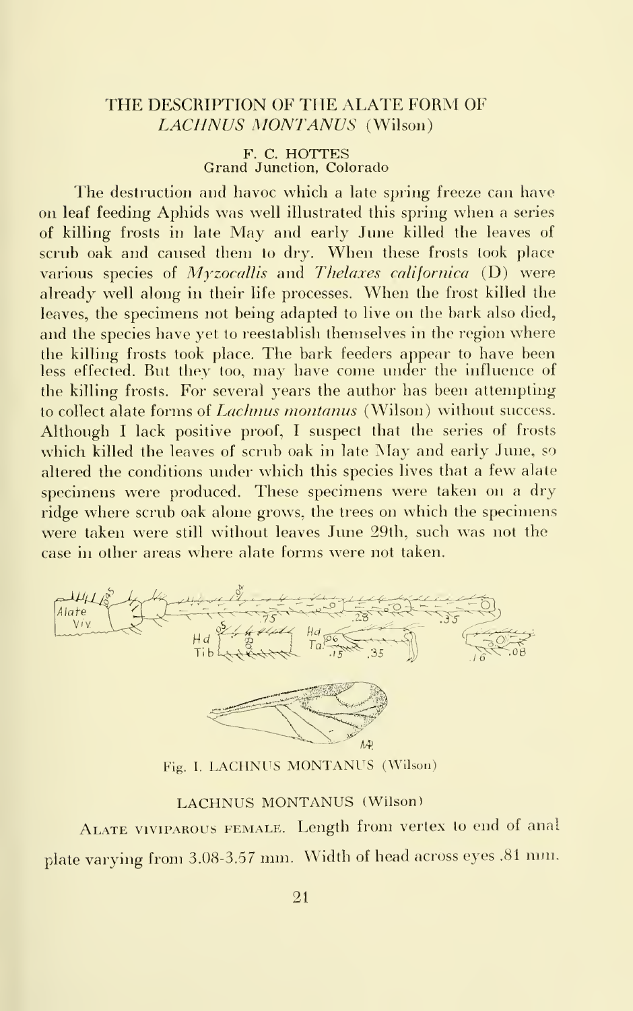#### THE DESCRIPTION OF THE ALATE FORM OF LACIINUS MONTANUS (Wilson)

F. C. HOTTES Grand Junction, Colorado

The destruction and havoc which a late spring freeze can have on leaf feeding Aphids was well illustrated this spring when a series of killing frosts in late May and early June killed the leaves of scrub oak and caused them to dry. When these frosts took place various species of  $Myzocallis$  and Thelaxes californica (D) were already well along in their life processes. When the frost killed the leaves, the specimens not being adapted to live on the bark also died, and the species have yet to reestablish themselves in the region where the killing frosts took place. The bark feeders appear to have been less effected. But they too, may have come under the influence of the killing frosts. For several years the author has been attempting to collect alate forms of *Lachnus montanus* (Wilson) without success. Although <sup>I</sup> lack positive proof, <sup>I</sup> suspect that the series of frosts which killed the leaves of scrub oak in late May and early June, so altered the conditions under which this species lives that a few alate specimens were produced. These specimens were taken on a dry ridge where scrub oak alone grows, the trees on which the specimens were taken were still without leaves June 29th, such was not the case in other areas where alate forms were not taken.



Fig. I. LACHNUS MONTANUS (Wilson)

#### LACHNUS MONTANUS (Wilson)

ALATE VIVIPAROUS FEMALE. Length from vertex to end of anal plate varying from 3.08-3.57 mm. Width of head across eyes .81 mm.